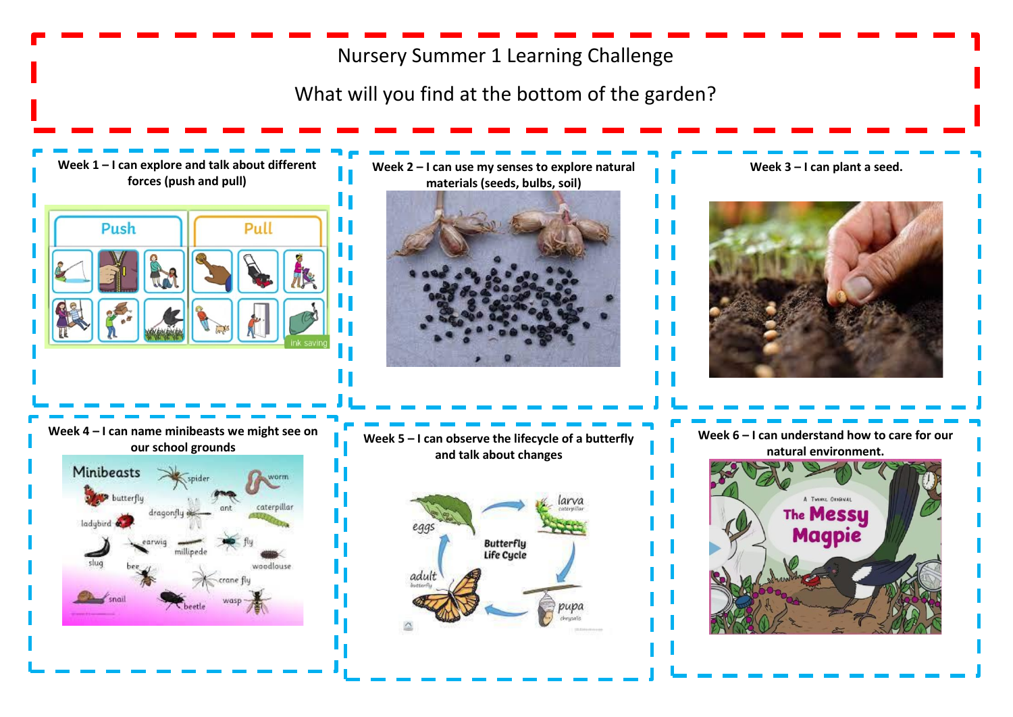## Nursery Summer 1 Learning Challenge

What will you find at the bottom of the garden?

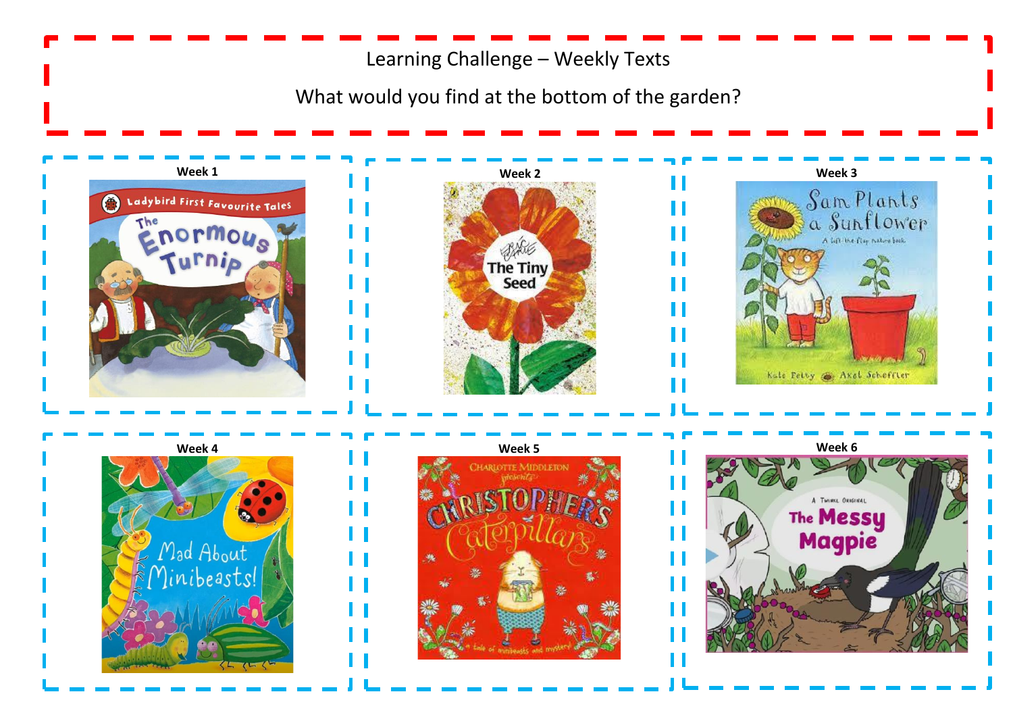Learning Challenge – Weekly Texts

What would you find at the bottom of the garden?